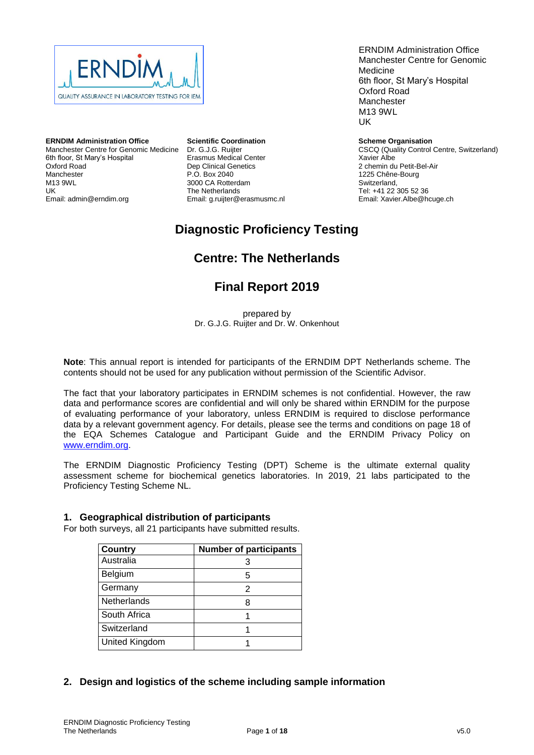

**ERNDIM Administration Office** Manchester Centre for Genomic Medicine 6th floor, St Mary's Hospital Oxford Road Manchester M13 9WL UK Email: admin@erndim.org

**Scientific Coordination** Dr. G.J.G. Ruijter Erasmus Medical Center Dep Clinical Genetics P.O. Box 2040 3000 CA Rotterdam The Netherlands Email: g.ruijter@erasmusmc.nl

ERNDIM Administration Office Manchester Centre for Genomic Medicine 6th floor, St Mary's Hospital Oxford Road Manchester M13 9WL UK

**Scheme Organisation** CSCQ (Quality Control Centre, Switzerland) Xavier Albe 2 chemin du Petit-Bel-Air 1225 Chêne-Bourg Switzerland, Tel: +41 22 305 52 36 Email: Xavier.Albe@hcuge.ch

## **Diagnostic Proficiency Testing**

## **Centre: The Netherlands**

## **Final Report 2019**

prepared by Dr. G.J.G. Ruijter and Dr. W. Onkenhout

**Note**: This annual report is intended for participants of the ERNDIM DPT Netherlands scheme. The contents should not be used for any publication without permission of the Scientific Advisor.

The fact that your laboratory participates in ERNDIM schemes is not confidential. However, the raw data and performance scores are confidential and will only be shared within ERNDIM for the purpose of evaluating performance of your laboratory, unless ERNDIM is required to disclose performance data by a relevant government agency. For details, please see the terms and conditions on page 18 of the EQA Schemes Catalogue and Participant Guide and the ERNDIM Privacy Policy on [www.erndim.org.](http://www.erndim.org/)

The ERNDIM Diagnostic Proficiency Testing (DPT) Scheme is the ultimate external quality assessment scheme for biochemical genetics laboratories. In 2019, 21 labs participated to the Proficiency Testing Scheme NL.

## **1. Geographical distribution of participants**

For both surveys, all 21 participants have submitted results.

| <b>Country</b>     | <b>Number of participants</b> |
|--------------------|-------------------------------|
| Australia          | 3                             |
| Belgium            | 5                             |
| Germany            | 2                             |
| <b>Netherlands</b> | 8                             |
| South Africa       |                               |
| Switzerland        |                               |
| United Kingdom     |                               |

## **2. Design and logistics of the scheme including sample information**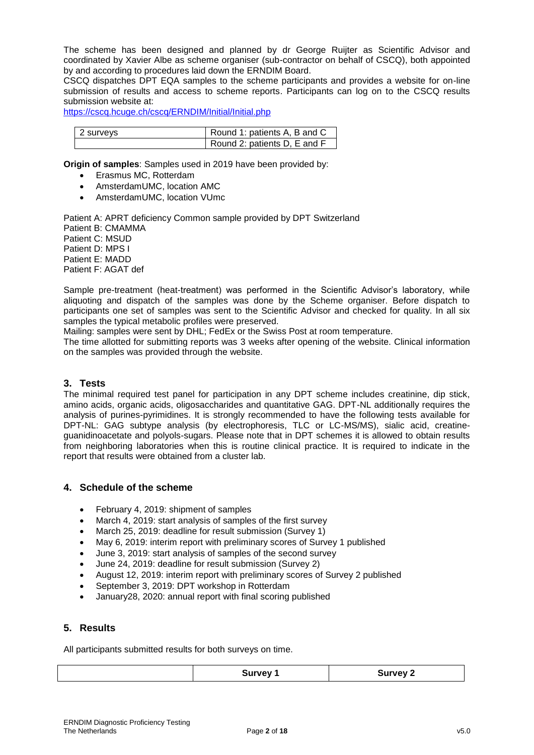The scheme has been designed and planned by dr George Ruijter as Scientific Advisor and coordinated by Xavier Albe as scheme organiser (sub-contractor on behalf of CSCQ), both appointed by and according to procedures laid down the ERNDIM Board.

CSCQ dispatches DPT EQA samples to the scheme participants and provides a website for on-line submission of results and access to scheme reports. Participants can log on to the CSCQ results submission website at:

<https://cscq.hcuge.ch/cscq/ERNDIM/Initial/Initial.php>

| 2 surveys | Round 1: patients A, B and C |
|-----------|------------------------------|
|           | Round 2: patients D, E and F |

**Origin of samples**: Samples used in 2019 have been provided by:

- Erasmus MC, Rotterdam
- AmsterdamUMC, location AMC
- AmsterdamUMC, location VUmc

Patient A: APRT deficiency Common sample provided by DPT Switzerland Patient B: CMAMMA Patient C: MSUD Patient D: MPS I Patient E: MADD Patient F: AGAT def

Sample pre-treatment (heat-treatment) was performed in the Scientific Advisor's laboratory, while aliquoting and dispatch of the samples was done by the Scheme organiser. Before dispatch to participants one set of samples was sent to the Scientific Advisor and checked for quality. In all six samples the typical metabolic profiles were preserved.

Mailing: samples were sent by DHL; FedEx or the Swiss Post at room temperature.

The time allotted for submitting reports was 3 weeks after opening of the website. Clinical information on the samples was provided through the website.

## **3. Tests**

The minimal required test panel for participation in any DPT scheme includes creatinine, dip stick, amino acids, organic acids, oligosaccharides and quantitative GAG. DPT-NL additionally requires the analysis of purines-pyrimidines. It is strongly recommended to have the following tests available for DPT-NL: GAG subtype analysis (by electrophoresis, TLC or LC-MS/MS), sialic acid, creatineguanidinoacetate and polyols-sugars. Please note that in DPT schemes it is allowed to obtain results from neighboring laboratories when this is routine clinical practice. It is required to indicate in the report that results were obtained from a cluster lab.

## **4. Schedule of the scheme**

- February 4, 2019: shipment of samples
- March 4, 2019: start analysis of samples of the first survey
- March 25, 2019: deadline for result submission (Survey 1)
- May 6, 2019: interim report with preliminary scores of Survey 1 published
- June 3, 2019: start analysis of samples of the second survey
- June 24, 2019: deadline for result submission (Survey 2)
- August 12, 2019: interim report with preliminary scores of Survey 2 published
- September 3, 2019: DPT workshop in Rotterdam
- January28, 2020: annual report with final scoring published

## **5. Results**

All participants submitted results for both surveys on time.

|  |  | WAV.<br>$  -$ | <b>URVAVI</b><br>- |
|--|--|---------------|--------------------|
|--|--|---------------|--------------------|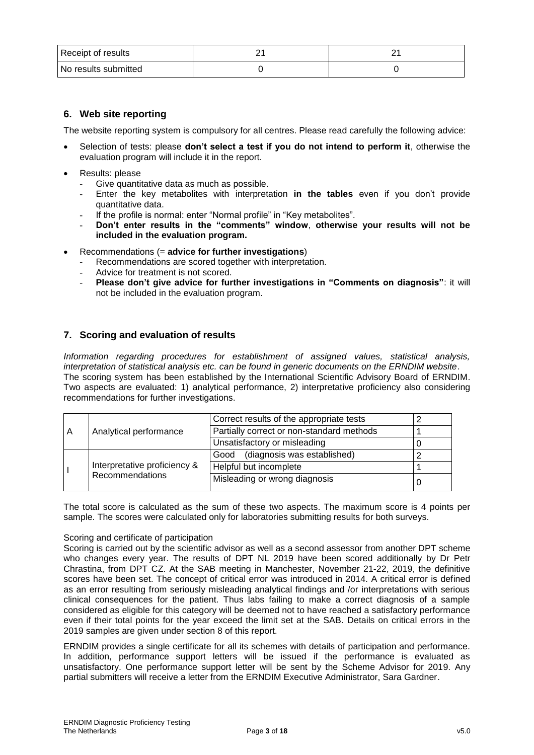| Receipt of results     |  |
|------------------------|--|
| l No results submitted |  |

## **6. Web site reporting**

The website reporting system is compulsory for all centres. Please read carefully the following advice:

- Selection of tests: please **don't select a test if you do not intend to perform it**, otherwise the evaluation program will include it in the report.
- Results: please
	- Give quantitative data as much as possible.
	- Enter the key metabolites with interpretation **in the tables** even if you don't provide quantitative data.
	- If the profile is normal: enter "Normal profile" in "Key metabolites".
	- **Don't enter results in the "comments" window**, **otherwise your results will not be included in the evaluation program.**
- Recommendations (= **advice for further investigations**)
	- Recommendations are scored together with interpretation.
	- Advice for treatment is not scored.
	- **Please don't give advice for further investigations in "Comments on diagnosis"**: it will not be included in the evaluation program.

## **7. Scoring and evaluation of results**

*Information regarding procedures for establishment of assigned values, statistical analysis, interpretation of statistical analysis etc. can be found in generic documents on the ERNDIM website*. The scoring system has been established by the International Scientific Advisory Board of ERNDIM. Two aspects are evaluated: 1) analytical performance, 2) interpretative proficiency also considering recommendations for further investigations.

|   |                              | Correct results of the appropriate tests  |  |
|---|------------------------------|-------------------------------------------|--|
| A | Analytical performance       | Partially correct or non-standard methods |  |
|   |                              | Unsatisfactory or misleading              |  |
|   |                              | Good (diagnosis was established)          |  |
|   | Interpretative proficiency & | Helpful but incomplete                    |  |
|   | Recommendations              | Misleading or wrong diagnosis             |  |

The total score is calculated as the sum of these two aspects. The maximum score is 4 points per sample. The scores were calculated only for laboratories submitting results for both surveys.

## Scoring and certificate of participation

Scoring is carried out by the scientific advisor as well as a second assessor from another DPT scheme who changes every year. The results of DPT NL 2019 have been scored additionally by Dr Petr Chrastina, from DPT CZ. At the SAB meeting in Manchester, November 21-22, 2019, the definitive scores have been set. The concept of critical error was introduced in 2014. A critical error is defined as an error resulting from seriously misleading analytical findings and /or interpretations with serious clinical consequences for the patient. Thus labs failing to make a correct diagnosis of a sample considered as eligible for this category will be deemed not to have reached a satisfactory performance even if their total points for the year exceed the limit set at the SAB. Details on critical errors in the 2019 samples are given under section 8 of this report.

ERNDIM provides a single certificate for all its schemes with details of participation and performance. In addition, performance support letters will be issued if the performance is evaluated as unsatisfactory. One performance support letter will be sent by the Scheme Advisor for 2019. Any partial submitters will receive a letter from the ERNDIM Executive Administrator, Sara Gardner.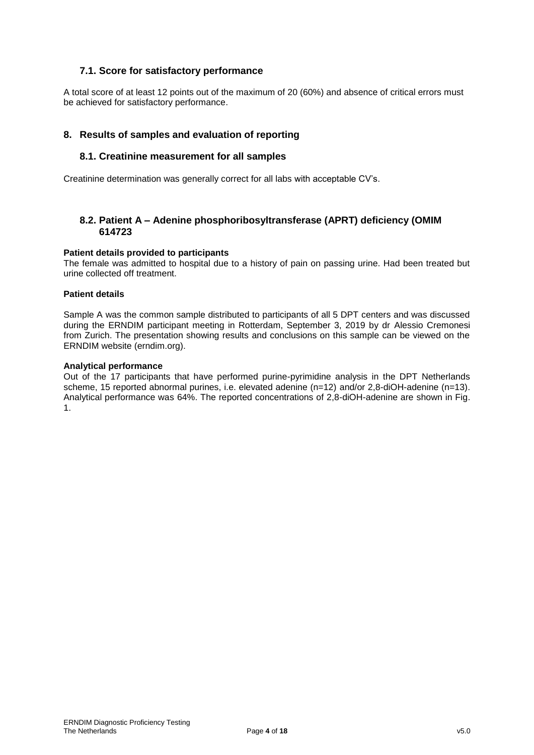## **7.1. Score for satisfactory performance**

A total score of at least 12 points out of the maximum of 20 (60%) and absence of critical errors must be achieved for satisfactory performance.

## **8. Results of samples and evaluation of reporting**

## **8.1. Creatinine measurement for all samples**

Creatinine determination was generally correct for all labs with acceptable CV's.

## **8.2. Patient A – Adenine phosphoribosyltransferase (APRT) deficiency (OMIM 614723**

## **Patient details provided to participants**

The female was admitted to hospital due to a history of pain on passing urine. Had been treated but urine collected off treatment.

#### **Patient details**

Sample A was the common sample distributed to participants of all 5 DPT centers and was discussed during the ERNDIM participant meeting in Rotterdam, September 3, 2019 by dr Alessio Cremonesi from Zurich. The presentation showing results and conclusions on this sample can be viewed on the ERNDIM website (erndim.org).

#### **Analytical performance**

Out of the 17 participants that have performed purine-pyrimidine analysis in the DPT Netherlands scheme, 15 reported abnormal purines, i.e. elevated adenine (n=12) and/or 2,8-diOH-adenine (n=13). Analytical performance was 64%. The reported concentrations of 2,8-diOH-adenine are shown in Fig. 1.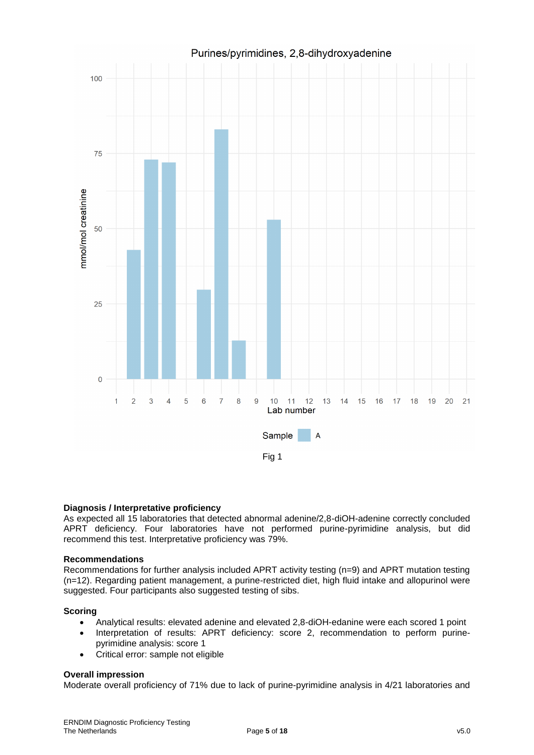

## **Diagnosis / Interpretative proficiency**

As expected all 15 laboratories that detected abnormal adenine/2,8-diOH-adenine correctly concluded APRT deficiency. Four laboratories have not performed purine-pyrimidine analysis, but did recommend this test. Interpretative proficiency was 79%.

## **Recommendations**

Recommendations for further analysis included APRT activity testing (n=9) and APRT mutation testing (n=12). Regarding patient management, a purine-restricted diet, high fluid intake and allopurinol were suggested. Four participants also suggested testing of sibs.

## **Scoring**

- Analytical results: elevated adenine and elevated 2,8-diOH-edanine were each scored 1 point
- Interpretation of results: APRT deficiency: score 2, recommendation to perform purinepyrimidine analysis: score 1
- Critical error: sample not eligible

## **Overall impression**

Moderate overall proficiency of 71% due to lack of purine-pyrimidine analysis in 4/21 laboratories and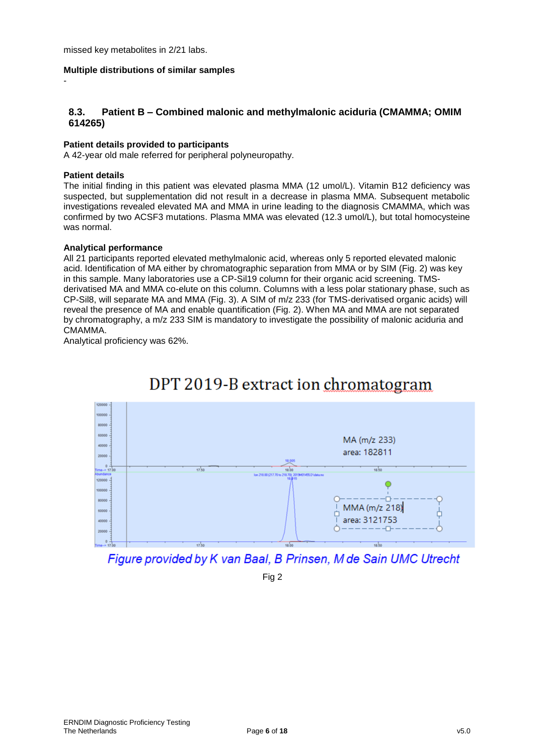missed key metabolites in 2/21 labs.

## **Multiple distributions of similar samples**

## **8.3. Patient B – Combined malonic and methylmalonic aciduria (CMAMMA; OMIM 614265)**

## **Patient details provided to participants**

A 42-year old male referred for peripheral polyneuropathy.

#### **Patient details**

-

The initial finding in this patient was elevated plasma MMA (12 umol/L). Vitamin B12 deficiency was suspected, but supplementation did not result in a decrease in plasma MMA. Subsequent metabolic investigations revealed elevated MA and MMA in urine leading to the diagnosis CMAMMA, which was confirmed by two ACSF3 mutations. Plasma MMA was elevated (12.3 umol/L), but total homocysteine was normal.

#### **Analytical performance**

All 21 participants reported elevated methylmalonic acid, whereas only 5 reported elevated malonic acid. Identification of MA either by chromatographic separation from MMA or by SIM (Fig. 2) was key in this sample. Many laboratories use a CP-Sil19 column for their organic acid screening. TMSderivatised MA and MMA co-elute on this column. Columns with a less polar stationary phase, such as CP-Sil8, will separate MA and MMA (Fig. 3). A SIM of m/z 233 (for TMS-derivatised organic acids) will reveal the presence of MA and enable quantification (Fig. 2). When MA and MMA are not separated by chromatography, a m/z 233 SIM is mandatory to investigate the possibility of malonic aciduria and CMAMMA.

Analytical proficiency was 62%.



# DPT 2019-B extract ion chromatogram

Figure provided by K van Baal, B Prinsen, M de Sain UMC Utrecht

Fig 2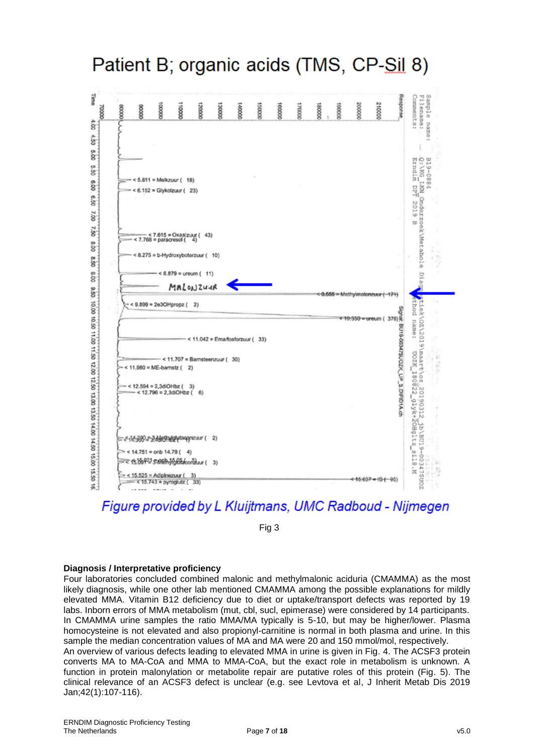Patient B; organic acids (TMS, CP-Sil 8)



Figure provided by L Kluijtmans, UMC Radboud - Nijmegen

Fig 3

#### **Diagnosis / Interpretative proficiency**

Four laboratories concluded combined malonic and methylmalonic aciduria (CMAMMA) as the most likely diagnosis, while one other lab mentioned CMAMMA among the possible explanations for mildly elevated MMA. Vitamin B12 deficiency due to diet or uptake/transport defects was reported by 19 labs. Inborn errors of MMA metabolism (mut, cbl, sucl, epimerase) were considered by 14 participants. In CMAMMA urine samples the ratio MMA/MA typically is 5-10, but may be higher/lower. Plasma homocysteine is not elevated and also propionyl-carnitine is normal in both plasma and urine. In this sample the median concentration values of MA and MA were 20 and 150 mmol/mol, respectively. An overview of various defects leading to elevated MMA in urine is given in Fig. 4. The ACSF3 protein converts MA to MA-CoA and MMA to MMA-CoA, but the exact role in metabolism is unknown. A

function in protein malonylation or metabolite repair are putative roles of this protein (Fig. 5). The clinical relevance of an ACSF3 defect is unclear (e.g. see Levtova et al, J Inherit Metab Dis 2019 Jan;42(1):107-116).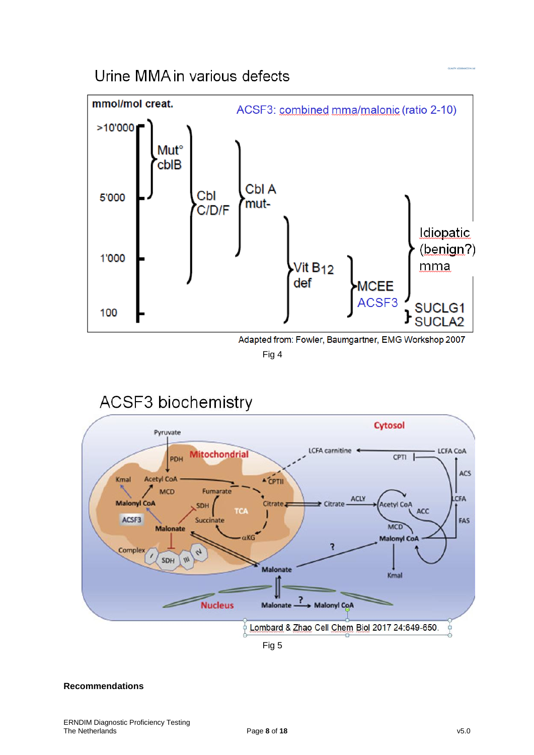## Urine MMA in various defects



Fig 4

#### **ACSF3** biochemistry **Cytosol** Pyruvate **CFA** carnitine **LCFA CoA Mitochondrial** CPTI PDH ACS Kmal **Acetyl CoA A CPTII** MCD Fumarate ACLY CFA **Malonyl CoA** Citrate<sub>a</sub> Citrate **Acetyl CoA** SDH  $\overline{1}$ ACC ACSF3 FAS Succinate MCD **Malonate Malonyl Co**  $\overline{\mathbf{z}}$ Complex  $\mathcal{L}_{\mathcal{F}}$ SDH  $^{\prime\prime\prime}$ Malonate Kmal ? **Nucleus** Malonate -Malonyl CoA  $\frac{1}{10}$  Lombard & Zhao Cell Chem Biol 2017 24:649-650. Fig 5

## **Recommendations**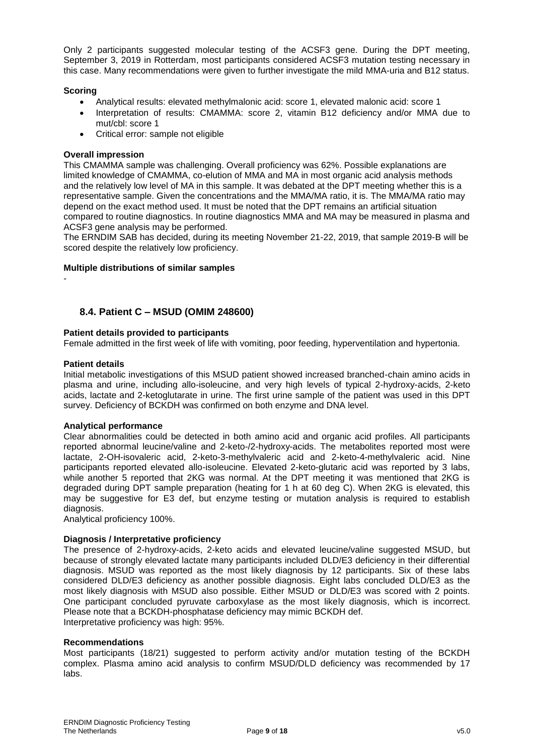Only 2 participants suggested molecular testing of the ACSF3 gene. During the DPT meeting, September 3, 2019 in Rotterdam, most participants considered ACSF3 mutation testing necessary in this case. Many recommendations were given to further investigate the mild MMA-uria and B12 status.

## **Scoring**

- Analytical results: elevated methylmalonic acid: score 1, elevated malonic acid: score 1
- Interpretation of results: CMAMMA: score 2, vitamin B12 deficiency and/or MMA due to mut/cbl: score 1
- Critical error: sample not eligible

#### **Overall impression**

This CMAMMA sample was challenging. Overall proficiency was 62%. Possible explanations are limited knowledge of CMAMMA, co-elution of MMA and MA in most organic acid analysis methods and the relatively low level of MA in this sample. It was debated at the DPT meeting whether this is a representative sample. Given the concentrations and the MMA/MA ratio, it is. The MMA/MA ratio may depend on the exact method used. It must be noted that the DPT remains an artificial situation compared to routine diagnostics. In routine diagnostics MMA and MA may be measured in plasma and ACSF3 gene analysis may be performed.

The ERNDIM SAB has decided, during its meeting November 21-22, 2019, that sample 2019-B will be scored despite the relatively low proficiency.

## **Multiple distributions of similar samples**

-

## **8.4. Patient C – MSUD (OMIM 248600)**

## **Patient details provided to participants**

Female admitted in the first week of life with vomiting, poor feeding, hyperventilation and hypertonia.

## **Patient details**

Initial metabolic investigations of this MSUD patient showed increased branched-chain amino acids in plasma and urine, including allo-isoleucine, and very high levels of typical 2-hydroxy-acids, 2-keto acids, lactate and 2-ketoglutarate in urine. The first urine sample of the patient was used in this DPT survey. Deficiency of BCKDH was confirmed on both enzyme and DNA level.

#### **Analytical performance**

Clear abnormalities could be detected in both amino acid and organic acid profiles. All participants reported abnormal leucine/valine and 2-keto-/2-hydroxy-acids. The metabolites reported most were lactate, 2-OH-isovaleric acid, 2-keto-3-methylvaleric acid and 2-keto-4-methylvaleric acid. Nine participants reported elevated allo-isoleucine. Elevated 2-keto-glutaric acid was reported by 3 labs, while another 5 reported that 2KG was normal. At the DPT meeting it was mentioned that 2KG is degraded during DPT sample preparation (heating for 1 h at 60 deg C). When 2KG is elevated, this may be suggestive for E3 def, but enzyme testing or mutation analysis is required to establish diagnosis.

Analytical proficiency 100%.

## **Diagnosis / Interpretative proficiency**

The presence of 2-hydroxy-acids, 2-keto acids and elevated leucine/valine suggested MSUD, but because of strongly elevated lactate many participants included DLD/E3 deficiency in their differential diagnosis. MSUD was reported as the most likely diagnosis by 12 participants. Six of these labs considered DLD/E3 deficiency as another possible diagnosis. Eight labs concluded DLD/E3 as the most likely diagnosis with MSUD also possible. Either MSUD or DLD/E3 was scored with 2 points. One participant concluded pyruvate carboxylase as the most likely diagnosis, which is incorrect. Please note that a BCKDH-phosphatase deficiency may mimic BCKDH def. Interpretative proficiency was high: 95%.

#### **Recommendations**

Most participants (18/21) suggested to perform activity and/or mutation testing of the BCKDH complex. Plasma amino acid analysis to confirm MSUD/DLD deficiency was recommended by 17 labs.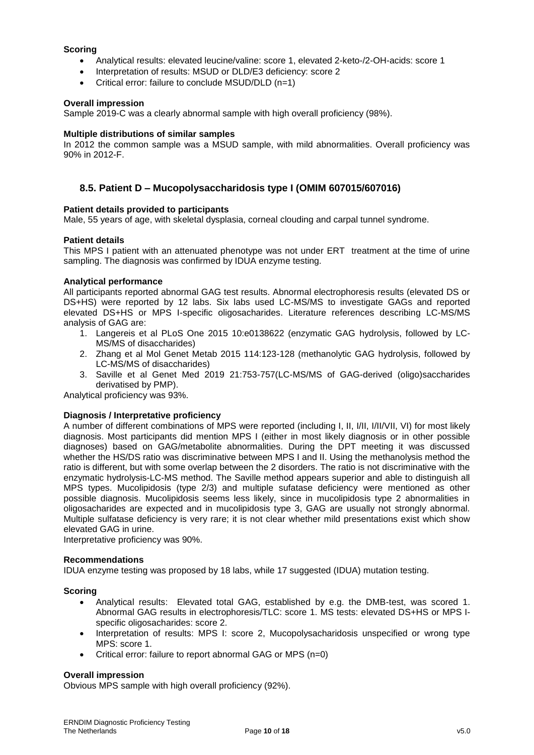## **Scoring**

- Analytical results: elevated leucine/valine: score 1, elevated 2-keto-/2-OH-acids: score 1
- Interpretation of results: MSUD or DLD/E3 deficiency: score 2
- Critical error: failure to conclude MSUD/DLD (n=1)

## **Overall impression**

Sample 2019-C was a clearly abnormal sample with high overall proficiency (98%).

#### **Multiple distributions of similar samples**

In 2012 the common sample was a MSUD sample, with mild abnormalities. Overall proficiency was 90% in 2012-F.

## **8.5. Patient D – Mucopolysaccharidosis type I (OMIM 607015/607016)**

## **Patient details provided to participants**

Male, 55 years of age, with skeletal dysplasia, corneal clouding and carpal tunnel syndrome.

## **Patient details**

This MPS I patient with an attenuated phenotype was not under ERT treatment at the time of urine sampling. The diagnosis was confirmed by IDUA enzyme testing.

## **Analytical performance**

All participants reported abnormal GAG test results. Abnormal electrophoresis results (elevated DS or DS+HS) were reported by 12 labs. Six labs used LC-MS/MS to investigate GAGs and reported elevated DS+HS or MPS I-specific oligosacharides. Literature references describing LC-MS/MS analysis of GAG are:

- 1. Langereis et al PLoS One 2015 10:e0138622 (enzymatic GAG hydrolysis, followed by LC-MS/MS of disaccharides)
- 2. Zhang et al Mol Genet Metab 2015 114:123-128 (methanolytic GAG hydrolysis, followed by LC-MS/MS of disaccharides)
- 3. Saville et al Genet Med 2019 21:753-757(LC-MS/MS of GAG-derived (oligo)saccharides derivatised by PMP).

Analytical proficiency was 93%.

## **Diagnosis / Interpretative proficiency**

A number of different combinations of MPS were reported (including I, II, I/II, I/II/VII, VI) for most likely diagnosis. Most participants did mention MPS I (either in most likely diagnosis or in other possible diagnoses) based on GAG/metabolite abnormalities. During the DPT meeting it was discussed whether the HS/DS ratio was discriminative between MPS I and II. Using the methanolysis method the ratio is different, but with some overlap between the 2 disorders. The ratio is not discriminative with the enzymatic hydrolysis-LC-MS method. The Saville method appears superior and able to distinguish all MPS types. Mucolipidosis (type 2/3) and multiple sufatase deficiency were mentioned as other possible diagnosis. Mucolipidosis seems less likely, since in mucolipidosis type 2 abnormalities in oligosacharides are expected and in mucolipidosis type 3, GAG are usually not strongly abnormal. Multiple sulfatase deficiency is very rare; it is not clear whether mild presentations exist which show elevated GAG in urine.

Interpretative proficiency was 90%.

#### **Recommendations**

IDUA enzyme testing was proposed by 18 labs, while 17 suggested (IDUA) mutation testing.

#### **Scoring**

- Analytical results: Elevated total GAG, established by e.g. the DMB-test, was scored 1. Abnormal GAG results in electrophoresis/TLC: score 1. MS tests: elevated DS+HS or MPS Ispecific oligosacharides: score 2.
- Interpretation of results: MPS I: score 2, Mucopolysacharidosis unspecified or wrong type MPS: score 1.
- Critical error: failure to report abnormal GAG or MPS (n=0)

#### **Overall impression**

Obvious MPS sample with high overall proficiency (92%).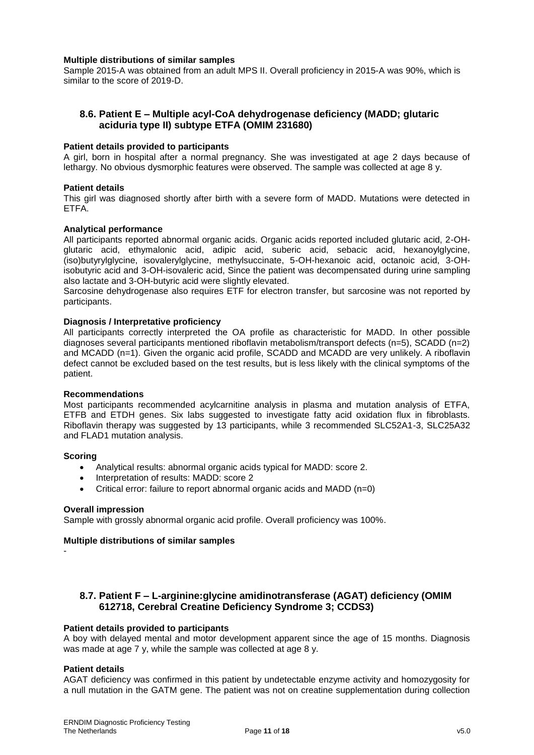#### **Multiple distributions of similar samples**

Sample 2015-A was obtained from an adult MPS II. Overall proficiency in 2015-A was 90%, which is similar to the score of 2019-D.

## **8.6. Patient E – Multiple acyl-CoA dehydrogenase deficiency (MADD; glutaric aciduria type II) subtype ETFA (OMIM 231680)**

#### **Patient details provided to participants**

A girl, born in hospital after a normal pregnancy. She was investigated at age 2 days because of lethargy. No obvious dysmorphic features were observed. The sample was collected at age 8 y.

#### **Patient details**

This girl was diagnosed shortly after birth with a severe form of MADD. Mutations were detected in ETFA.

#### **Analytical performance**

All participants reported abnormal organic acids. Organic acids reported included glutaric acid, 2-OHglutaric acid, ethymalonic acid, adipic acid, suberic acid, sebacic acid, hexanoylglycine, (iso)butyrylglycine, isovalerylglycine, methylsuccinate, 5-OH-hexanoic acid, octanoic acid, 3-OHisobutyric acid and 3-OH-isovaleric acid, Since the patient was decompensated during urine sampling also lactate and 3-OH-butyric acid were slightly elevated.

Sarcosine dehydrogenase also requires ETF for electron transfer, but sarcosine was not reported by participants.

#### **Diagnosis / Interpretative proficiency**

All participants correctly interpreted the OA profile as characteristic for MADD. In other possible diagnoses several participants mentioned riboflavin metabolism/transport defects (n=5), SCADD (n=2) and MCADD (n=1). Given the organic acid profile, SCADD and MCADD are very unlikely. A riboflavin defect cannot be excluded based on the test results, but is less likely with the clinical symptoms of the patient.

#### **Recommendations**

Most participants recommended acylcarnitine analysis in plasma and mutation analysis of ETFA, ETFB and ETDH genes. Six labs suggested to investigate fatty acid oxidation flux in fibroblasts. Riboflavin therapy was suggested by 13 participants, while 3 recommended SLC52A1-3, SLC25A32 and FLAD1 mutation analysis.

#### **Scoring**

- Analytical results: abnormal organic acids typical for MADD: score 2.
- Interpretation of results: MADD: score 2
- Critical error: failure to report abnormal organic acids and MADD (n=0)

#### **Overall impression**

Sample with grossly abnormal organic acid profile. Overall proficiency was 100%.

#### **Multiple distributions of similar samples**

-

## **8.7. Patient F – L-arginine:glycine amidinotransferase (AGAT) deficiency (OMIM 612718, Cerebral Creatine Deficiency Syndrome 3; CCDS3)**

#### **Patient details provided to participants**

A boy with delayed mental and motor development apparent since the age of 15 months. Diagnosis was made at age 7 y, while the sample was collected at age 8 y.

#### **Patient details**

AGAT deficiency was confirmed in this patient by undetectable enzyme activity and homozygosity for a null mutation in the GATM gene. The patient was not on creatine supplementation during collection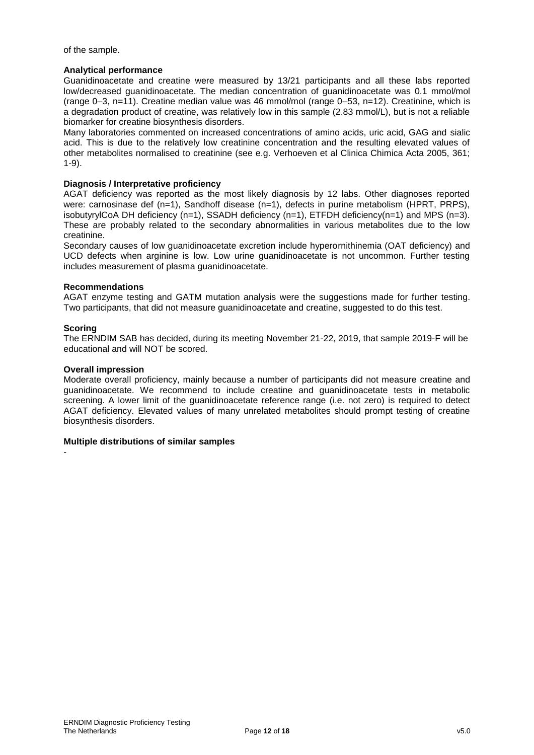of the sample.

## **Analytical performance**

Guanidinoacetate and creatine were measured by 13/21 participants and all these labs reported low/decreased guanidinoacetate. The median concentration of guanidinoacetate was 0.1 mmol/mol (range 0–3, n=11). Creatine median value was 46 mmol/mol (range 0–53, n=12). Creatinine, which is a degradation product of creatine, was relatively low in this sample (2.83 mmol/L), but is not a reliable biomarker for creatine biosynthesis disorders.

Many laboratories commented on increased concentrations of amino acids, uric acid, GAG and sialic acid. This is due to the relatively low creatinine concentration and the resulting elevated values of other metabolites normalised to creatinine (see e.g. Verhoeven et al Clinica Chimica Acta 2005, 361; 1-9).

## **Diagnosis / Interpretative proficiency**

AGAT deficiency was reported as the most likely diagnosis by 12 labs. Other diagnoses reported were: carnosinase def (n=1), Sandhoff disease (n=1), defects in purine metabolism (HPRT, PRPS), isobutyrylCoA DH deficiency  $(n=1)$ , SSADH deficiency  $(n=1)$ , ETFDH deficiency $(n=1)$  and MPS  $(n=3)$ . These are probably related to the secondary abnormalities in various metabolites due to the low creatinine.

Secondary causes of low guanidinoacetate excretion include hyperornithinemia (OAT deficiency) and UCD defects when arginine is low. Low urine guanidinoacetate is not uncommon. Further testing includes measurement of plasma guanidinoacetate.

#### **Recommendations**

AGAT enzyme testing and GATM mutation analysis were the suggestions made for further testing. Two participants, that did not measure guanidinoacetate and creatine, suggested to do this test.

## **Scoring**

-

The ERNDIM SAB has decided, during its meeting November 21-22, 2019, that sample 2019-F will be educational and will NOT be scored.

#### **Overall impression**

Moderate overall proficiency, mainly because a number of participants did not measure creatine and guanidinoacetate. We recommend to include creatine and guanidinoacetate tests in metabolic screening. A lower limit of the guanidinoacetate reference range (i.e. not zero) is required to detect AGAT deficiency. Elevated values of many unrelated metabolites should prompt testing of creatine biosynthesis disorders.

#### **Multiple distributions of similar samples**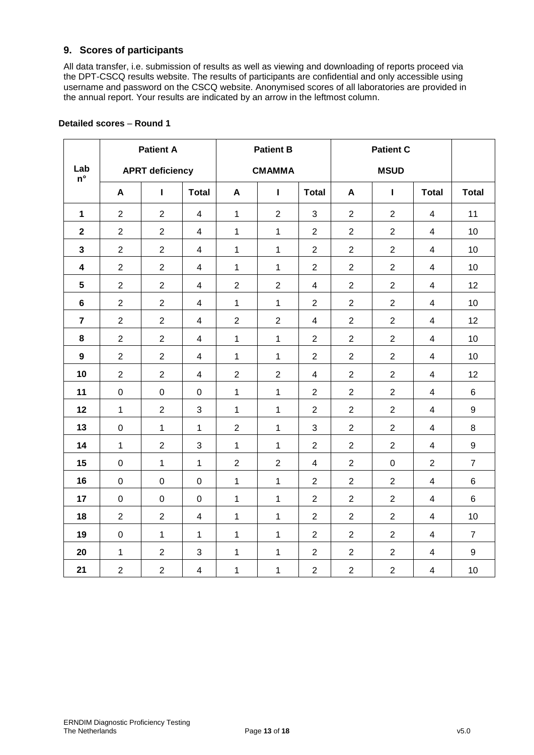## **9. Scores of participants**

All data transfer, i.e. submission of results as well as viewing and downloading of reports proceed via the DPT-CSCQ results website. The results of participants are confidential and only accessible using username and password on the CSCQ website. Anonymised scores of all laboratories are provided in the annual report. Your results are indicated by an arrow in the leftmost column.

|                           |                  | <b>Patient A</b>       |                         | <b>Patient B</b> |                |                | <b>Patient C</b> |                |                          |                  |
|---------------------------|------------------|------------------------|-------------------------|------------------|----------------|----------------|------------------|----------------|--------------------------|------------------|
| Lab<br>$\mathsf{n}^\circ$ |                  | <b>APRT deficiency</b> |                         | <b>CMAMMA</b>    |                |                |                  |                |                          |                  |
|                           | A                | $\mathbf{I}$           | <b>Total</b>            | A                | $\mathbf{I}$   | <b>Total</b>   | A                | Т              | <b>Total</b>             | <b>Total</b>     |
| $\mathbf{1}$              | $\overline{2}$   | $\overline{2}$         | $\overline{4}$          | $\mathbf{1}$     | $\overline{2}$ | 3              | $\overline{2}$   | $\overline{2}$ | $\overline{\mathbf{4}}$  | 11               |
| $\mathbf{2}$              | $\overline{2}$   | $\overline{2}$         | $\overline{4}$          | $\mathbf{1}$     | $\mathbf{1}$   | $\overline{2}$ | $\overline{2}$   | $\overline{2}$ | $\overline{\mathbf{4}}$  | 10               |
| $\mathbf{3}$              | $\overline{2}$   | $\overline{2}$         | $\overline{\mathbf{4}}$ | $\mathbf{1}$     | $\mathbf{1}$   | $\overline{2}$ | $\overline{2}$   | $\overline{2}$ | $\overline{\mathcal{A}}$ | 10               |
| $\overline{\mathbf{4}}$   | $\overline{2}$   | $\overline{2}$         | $\overline{4}$          | $\mathbf{1}$     | $\mathbf{1}$   | $\overline{2}$ | $\overline{2}$   | $\overline{2}$ | $\overline{\mathcal{A}}$ | 10               |
| $5\phantom{.0}$           | $\overline{2}$   | $\overline{2}$         | $\overline{4}$          | $\overline{2}$   | $\overline{2}$ | $\overline{4}$ | $\overline{2}$   | $\overline{2}$ | $\overline{\mathbf{4}}$  | 12               |
| $6\phantom{1}$            | $\overline{2}$   | $\overline{2}$         | $\overline{4}$          | $\mathbf{1}$     | $\mathbf{1}$   | 2              | $\overline{2}$   | $\overline{2}$ | $\overline{\mathbf{4}}$  | 10               |
| $\overline{7}$            | $\overline{2}$   | $\overline{2}$         | $\overline{4}$          | $\overline{2}$   | $\overline{2}$ | $\overline{4}$ | $\overline{2}$   | $\overline{2}$ | $\overline{4}$           | 12               |
| $\bf 8$                   | $\overline{2}$   | $\overline{2}$         | $\overline{4}$          | $\mathbf{1}$     | $\mathbf{1}$   | $\overline{2}$ | $\overline{2}$   | $\overline{2}$ | $\overline{\mathbf{4}}$  | 10               |
| $\boldsymbol{9}$          | $\overline{2}$   | $\overline{2}$         | $\overline{4}$          | $\mathbf{1}$     | $\mathbf{1}$   | $\overline{2}$ | $\overline{2}$   | $\overline{2}$ | $\overline{4}$           | 10               |
| 10                        | $\overline{2}$   | $\overline{2}$         | $\overline{4}$          | $\overline{2}$   | $\overline{2}$ | $\overline{4}$ | $\overline{2}$   | $\overline{2}$ | $\overline{\mathbf{4}}$  | 12               |
| 11                        | $\pmb{0}$        | $\pmb{0}$              | $\mathbf 0$             | $\mathbf{1}$     | $\mathbf{1}$   | $\overline{2}$ | $\boldsymbol{2}$ | $\overline{2}$ | $\overline{\mathbf{4}}$  | 6                |
| 12                        | $\mathbf{1}$     | $\overline{2}$         | 3                       | $\mathbf{1}$     | $\mathbf{1}$   | $\overline{2}$ | $\overline{2}$   | $\overline{2}$ | $\overline{\mathbf{4}}$  | 9                |
| 13                        | $\boldsymbol{0}$ | $\mathbf{1}$           | $\mathbf{1}$            | $\overline{2}$   | $\mathbf{1}$   | 3              | $\overline{2}$   | $\overline{2}$ | $\overline{\mathbf{4}}$  | 8                |
| 14                        | $\mathbf{1}$     | $\overline{2}$         | 3                       | $\mathbf{1}$     | $\mathbf{1}$   | $\overline{2}$ | $\overline{2}$   | $\overline{2}$ | $\overline{\mathbf{4}}$  | $\boldsymbol{9}$ |
| 15                        | $\boldsymbol{0}$ | $\mathbf{1}$           | $\mathbf{1}$            | $\overline{2}$   | $\overline{2}$ | $\overline{4}$ | $\overline{2}$   | $\mathsf 0$    | $\overline{2}$           | $\overline{7}$   |
| 16                        | $\mathbf 0$      | $\mathbf 0$            | $\mathbf 0$             | $\mathbf{1}$     | $\mathbf{1}$   | $\overline{2}$ | $\overline{2}$   | $\overline{2}$ | $\overline{\mathbf{4}}$  | 6                |
| 17                        | $\boldsymbol{0}$ | $\pmb{0}$              | $\pmb{0}$               | $\mathbf{1}$     | $\mathbf{1}$   | $\overline{2}$ | $\overline{2}$   | $\overline{2}$ | $\overline{\mathbf{4}}$  | 6                |
| 18                        | $\overline{2}$   | $\overline{2}$         | $\overline{4}$          | $\mathbf{1}$     | $\mathbf{1}$   | $\overline{2}$ | $\overline{2}$   | $\overline{2}$ | $\overline{\mathbf{4}}$  | 10               |
| 19                        | $\pmb{0}$        | $\mathbf{1}$           | $\mathbf{1}$            | $\mathbf{1}$     | $\mathbf{1}$   | $\overline{2}$ | $\overline{2}$   | $\overline{2}$ | $\overline{\mathbf{4}}$  | $\overline{7}$   |
| 20                        | $\mathbf{1}$     | $\overline{2}$         | 3                       | $\mathbf{1}$     | $\mathbf{1}$   | $\overline{2}$ | $\overline{2}$   | $\overline{2}$ | $\overline{\mathbf{4}}$  | 9                |
| 21                        | $\overline{2}$   | $\overline{2}$         | $\overline{\mathbf{4}}$ | $\mathbf{1}$     | 1              | $\overline{2}$ | $\overline{2}$   | $\overline{2}$ | $\overline{\mathbf{4}}$  | 10               |

## **Detailed scores** – **Round 1**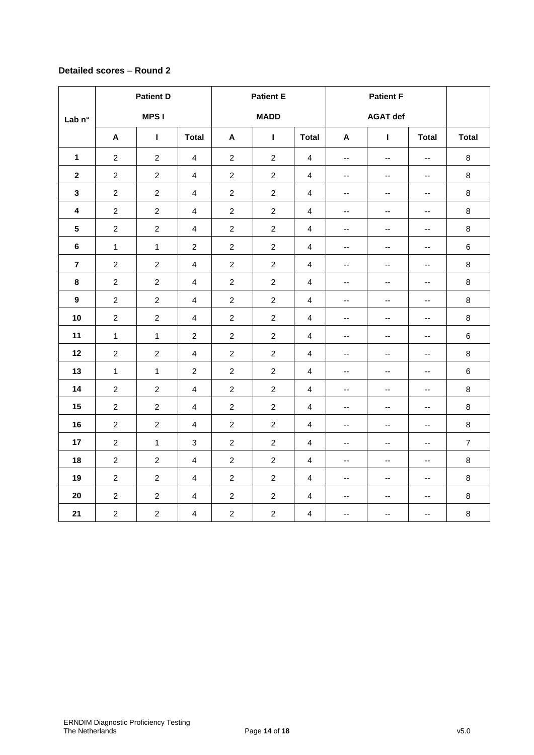## **Detailed scores** – **Round 2**

|                         | <b>Patient D</b> |                |                |                | <b>Patient E</b> |                         |                          | <b>Patient F</b>         |                          |                |
|-------------------------|------------------|----------------|----------------|----------------|------------------|-------------------------|--------------------------|--------------------------|--------------------------|----------------|
| Lab n°                  |                  | <b>MPSI</b>    |                | <b>MADD</b>    |                  | <b>AGAT def</b>         |                          |                          |                          |                |
|                         | A                | Т              | <b>Total</b>   | $\mathbf{A}$   | $\mathbf{I}$     | <b>Total</b>            | A                        | T.                       | <b>Total</b>             | <b>Total</b>   |
| $\mathbf{1}$            | $\overline{2}$   | $\overline{2}$ | $\overline{4}$ | $\overline{2}$ | $\overline{2}$   | $\overline{4}$          | $\mathbf{u}$             | $\mathbf{u}$             | $\mathbf{u}$             | 8              |
| $\mathbf{2}$            | $\overline{2}$   | $\overline{2}$ | $\overline{4}$ | $\overline{2}$ | $\overline{c}$   | $\overline{4}$          | $\overline{\phantom{a}}$ | $\overline{\phantom{a}}$ | $\overline{\phantom{a}}$ | 8              |
| 3                       | $\overline{2}$   | $\overline{2}$ | $\overline{4}$ | $\overline{2}$ | $\overline{2}$   | $\overline{4}$          | $\overline{\phantom{a}}$ | $\overline{\phantom{a}}$ | $\overline{\phantom{a}}$ | 8              |
| $\overline{\mathbf{4}}$ | $\overline{c}$   | $\overline{2}$ | $\overline{4}$ | $\overline{2}$ | $\overline{2}$   | $\overline{4}$          | $\overline{\phantom{a}}$ | --                       | --                       | 8              |
| $5\phantom{a}$          | $\overline{2}$   | $\overline{2}$ | $\overline{4}$ | $\overline{2}$ | $\overline{2}$   | $\overline{4}$          | ۰.                       | --                       | --                       | 8              |
| $\bf 6$                 | $\mathbf{1}$     | $\mathbf{1}$   | $\overline{2}$ | $\overline{2}$ | $\overline{2}$   | $\overline{4}$          | $\overline{\phantom{a}}$ | Ξ.                       | $\overline{\phantom{a}}$ | $\,6\,$        |
| $\overline{\mathbf{r}}$ | $\overline{c}$   | $\overline{2}$ | $\overline{4}$ | $\overline{2}$ | $\overline{2}$   | $\overline{4}$          | $\overline{\phantom{a}}$ | --                       | $\overline{\phantom{a}}$ | 8              |
| 8                       | $\overline{2}$   | $\overline{2}$ | $\overline{4}$ | $\overline{2}$ | $\overline{2}$   | $\overline{4}$          | $\overline{\phantom{a}}$ | -−                       | --                       | 8              |
| $\boldsymbol{9}$        | $\overline{c}$   | $\overline{2}$ | $\overline{4}$ | $\overline{2}$ | $\overline{2}$   | $\overline{4}$          | $\overline{\phantom{a}}$ | $\overline{\phantom{a}}$ | $\overline{\phantom{a}}$ | 8              |
| 10                      | $\overline{2}$   | $\overline{2}$ | $\overline{4}$ | $\overline{2}$ | $\overline{2}$   | $\overline{4}$          | $\overline{\phantom{a}}$ | --                       | $\overline{\phantom{a}}$ | 8              |
| 11                      | $\mathbf{1}$     | $\mathbf{1}$   | $\overline{2}$ | $\overline{2}$ | $\overline{2}$   | 4                       | --                       | --                       | --                       | 6              |
| 12                      | $\overline{c}$   | $\overline{2}$ | $\overline{4}$ | $\overline{2}$ | $\overline{2}$   | $\overline{4}$          | $\overline{\phantom{a}}$ | --                       | $\qquad \qquad -$        | 8              |
| 13                      | $\mathbf{1}$     | 1              | $\overline{2}$ | $\overline{2}$ | $\overline{2}$   | 4                       | $\overline{\phantom{a}}$ | --                       | $\qquad \qquad -$        | 6              |
| 14                      | $\overline{c}$   | $\overline{2}$ | $\overline{4}$ | $\overline{2}$ | $\overline{2}$   | $\overline{4}$          | $\overline{\phantom{a}}$ | --                       | $\overline{\phantom{a}}$ | 8              |
| 15                      | $\overline{c}$   | $\overline{2}$ | 4              | $\overline{2}$ | $\overline{c}$   | 4                       | $\overline{\phantom{a}}$ | $\overline{\phantom{a}}$ | --                       | 8              |
| 16                      | $\overline{c}$   | $\overline{2}$ | 4              | $\overline{c}$ | $\overline{c}$   | $\overline{4}$          | $\overline{\phantom{a}}$ | -−                       | --                       | 8              |
| 17                      | $\overline{c}$   | $\mathbf{1}$   | $\mathbf{3}$   | $\overline{c}$ | $\overline{c}$   | 4                       | --                       | -−                       | --                       | $\overline{7}$ |
| 18                      | $\overline{c}$   | $\overline{2}$ | $\overline{4}$ | $\overline{2}$ | $\overline{2}$   | $\overline{4}$          | $\overline{\phantom{a}}$ | --                       | $\overline{\phantom{a}}$ | 8              |
| 19                      | $\overline{c}$   | $\overline{c}$ | 4              | $\overline{2}$ | $\overline{c}$   | 4                       | $\overline{\phantom{a}}$ | --                       | $\overline{\phantom{a}}$ | 8              |
| 20                      | $\overline{c}$   | $\overline{2}$ | $\overline{4}$ | $\overline{2}$ | $\overline{2}$   | $\overline{\mathbf{4}}$ | $\overline{\phantom{a}}$ | --                       | $\overline{\phantom{a}}$ | 8              |
| 21                      | $\overline{2}$   | $\overline{2}$ | $\overline{4}$ | $\overline{c}$ | $\overline{2}$   | $\overline{\mathbf{4}}$ | ۰.                       | $\overline{\phantom{a}}$ | ۰.                       | 8              |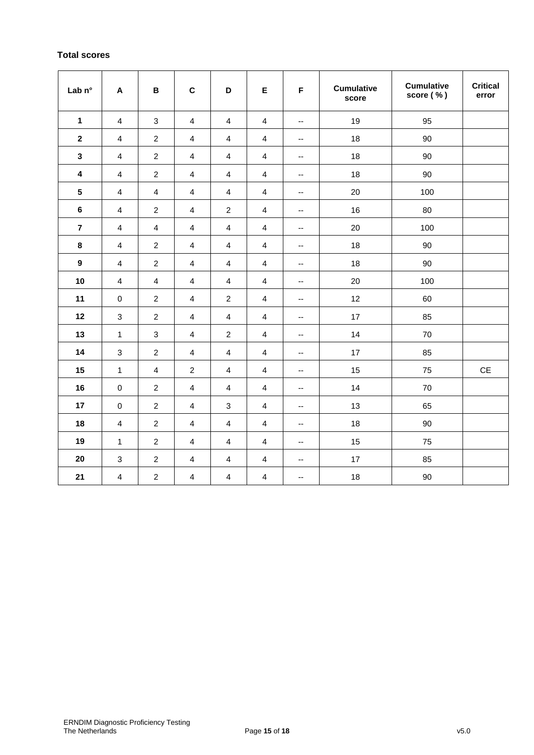## **Total scores**

| Lab n°          | $\boldsymbol{\mathsf{A}}$ | B                | $\mathbf C$             | D                       | E                       | F                        | <b>Cumulative</b><br>score | <b>Cumulative</b><br>score (%) | <b>Critical</b><br>error |
|-----------------|---------------------------|------------------|-------------------------|-------------------------|-------------------------|--------------------------|----------------------------|--------------------------------|--------------------------|
| $\mathbf{1}$    | $\overline{4}$            | $\mathsf 3$      | $\overline{4}$          | $\overline{4}$          | $\overline{\mathbf{4}}$ | $\overline{\phantom{a}}$ | 19                         | 95                             |                          |
| $\mathbf 2$     | 4                         | $\sqrt{2}$       | $\overline{\mathbf{4}}$ | $\overline{\mathbf{4}}$ | $\overline{4}$          | --                       | 18                         | 90                             |                          |
| $\mathbf{3}$    | $\overline{4}$            | $\sqrt{2}$       | $\overline{4}$          | $\overline{4}$          | $\overline{\mathbf{4}}$ | $\overline{\phantom{a}}$ | 18                         | 90                             |                          |
| 4               | $\overline{4}$            | $\overline{c}$   | 4                       | 4                       | 4                       | $\overline{\phantom{a}}$ | 18                         | 90                             |                          |
| $5\phantom{.0}$ | $\overline{4}$            | $\overline{4}$   | $\overline{4}$          | $\overline{4}$          | $\overline{4}$          | $\overline{\phantom{a}}$ | 20                         | 100                            |                          |
| $\bf 6$         | $\overline{\mathbf{4}}$   | $\sqrt{2}$       | $\overline{\mathbf{4}}$ | $\boldsymbol{2}$        | $\overline{\mathbf{4}}$ | --                       | 16                         | 80                             |                          |
| $\overline{7}$  | 4                         | $\overline{4}$   | 4                       | 4                       | 4                       | --                       | 20                         | 100                            |                          |
| 8               | $\overline{\mathbf{4}}$   | $\sqrt{2}$       | $\overline{4}$          | $\overline{4}$          | $\overline{4}$          | $\overline{\phantom{a}}$ | 18                         | 90                             |                          |
| $\overline{9}$  | $\overline{4}$            | $\overline{c}$   | 4                       | 4                       | 4                       | $\overline{\phantom{a}}$ | 18                         | 90                             |                          |
| 10              | $\overline{4}$            | $\overline{4}$   | $\overline{\mathbf{4}}$ | $\overline{\mathbf{4}}$ | $\overline{\mathbf{4}}$ | $\overline{\phantom{a}}$ | 20                         | 100                            |                          |
| 11              | $\pmb{0}$                 | $\sqrt{2}$       | $\overline{\mathbf{4}}$ | $\boldsymbol{2}$        | $\overline{\mathbf{4}}$ | $\overline{\phantom{a}}$ | 12                         | 60                             |                          |
| 12              | $\sqrt{3}$                | $\overline{c}$   | 4                       | 4                       | 4                       | --                       | 17                         | 85                             |                          |
| 13              | $\mathbf{1}$              | $\sqrt{3}$       | $\overline{\mathbf{4}}$ | $\boldsymbol{2}$        | $\overline{\mathbf{4}}$ | --                       | 14                         | 70                             |                          |
| 14              | $\ensuremath{\mathsf{3}}$ | $\boldsymbol{2}$ | $\overline{\mathbf{4}}$ | $\overline{\mathbf{4}}$ | $\overline{4}$          | $\overline{\phantom{a}}$ | 17                         | 85                             |                          |
| 15              | $\mathbf{1}$              | $\overline{4}$   | $\boldsymbol{2}$        | $\overline{4}$          | $\overline{4}$          | --                       | 15                         | 75                             | $\mathsf{CE}$            |
| 16              | $\pmb{0}$                 | $\sqrt{2}$       | $\overline{4}$          | $\overline{4}$          | $\overline{\mathbf{4}}$ | $\overline{\phantom{a}}$ | 14                         | 70                             |                          |
| 17              | $\pmb{0}$                 | $\overline{c}$   | 4                       | $\mathbf{3}$            | 4                       | $\overline{\phantom{a}}$ | 13                         | 65                             |                          |
| 18              | $\overline{4}$            | $\sqrt{2}$       | $\overline{4}$          | $\overline{4}$          | $\overline{\mathbf{4}}$ | --                       | 18                         | 90                             |                          |
| 19              | $\mathbf{1}$              | $\sqrt{2}$       | $\overline{\mathbf{4}}$ | $\overline{\mathbf{4}}$ | $\overline{4}$          | $\overline{\phantom{a}}$ | 15                         | 75                             |                          |
| 20              | $\sqrt{3}$                | $\overline{c}$   | $\overline{4}$          | $\overline{4}$          | $\overline{\mathbf{4}}$ | --                       | 17                         | 85                             |                          |
| 21              | $\overline{4}$            | $\sqrt{2}$       | $\overline{4}$          | $\overline{4}$          | $\overline{\mathbf{4}}$ | --                       | 18                         | 90                             |                          |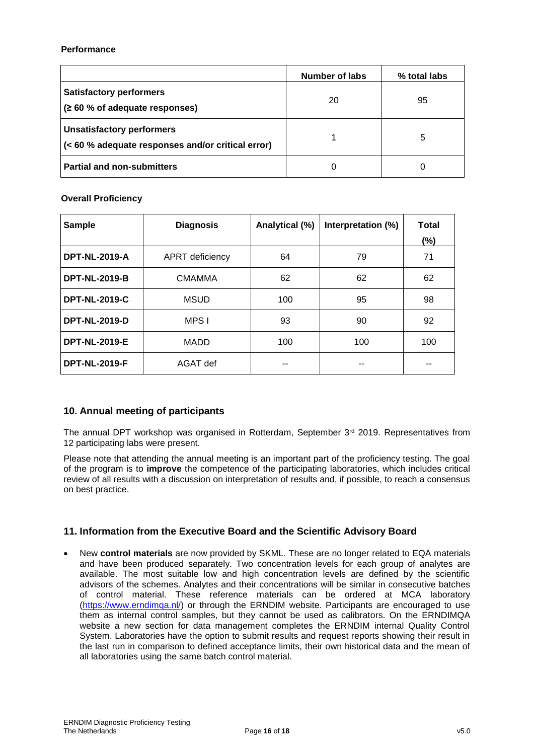## **Performance**

|                                                                                       | Number of labs | % total labs |
|---------------------------------------------------------------------------------------|----------------|--------------|
| <b>Satisfactory performers</b><br>(260 % of adequate responses)                       | 20             | 95           |
| <b>Unsatisfactory performers</b><br>(< 60 % adequate responses and/or critical error) |                | 5            |
| <b>Partial and non-submitters</b>                                                     |                |              |

## **Overall Proficiency**

| <b>Sample</b>        | <b>Diagnosis</b> | Analytical (%) | Interpretation (%) | <b>Total</b><br>(%) |
|----------------------|------------------|----------------|--------------------|---------------------|
| <b>DPT-NL-2019-A</b> | APRT deficiency  | 64             | 79                 | 71                  |
| <b>DPT-NL-2019-B</b> | <b>CMAMMA</b>    | 62             | 62                 | 62                  |
| <b>DPT-NL-2019-C</b> | <b>MSUD</b>      | 100            | 95                 | 98                  |
| <b>DPT-NL-2019-D</b> | MPS I            | 93             | 90                 | 92                  |
| <b>DPT-NL-2019-E</b> | <b>MADD</b>      | 100            | 100                | 100                 |
| <b>DPT-NL-2019-F</b> | AGAT def         |                |                    |                     |

## **10. Annual meeting of participants**

The annual DPT workshop was organised in Rotterdam, September 3<sup>rd</sup> 2019. Representatives from 12 participating labs were present.

Please note that attending the annual meeting is an important part of the proficiency testing. The goal of the program is to **improve** the competence of the participating laboratories, which includes critical review of all results with a discussion on interpretation of results and, if possible, to reach a consensus on best practice.

## **11. Information from the Executive Board and the Scientific Advisory Board**

 New **control materials** are now provided by SKML. These are no longer related to EQA materials and have been produced separately. Two concentration levels for each group of analytes are available. The most suitable low and high concentration levels are defined by the scientific advisors of the schemes. Analytes and their concentrations will be similar in consecutive batches of control material. These reference materials can be ordered at MCA laboratory [\(https://www.erndimqa.nl/\)](https://www.erndimqa.nl/) or through the ERNDIM website. Participants are encouraged to use them as internal control samples, but they cannot be used as calibrators. On the ERNDIMQA website a new section for data management completes the ERNDIM internal Quality Control System. Laboratories have the option to submit results and request reports showing their result in the last run in comparison to defined acceptance limits, their own historical data and the mean of all laboratories using the same batch control material.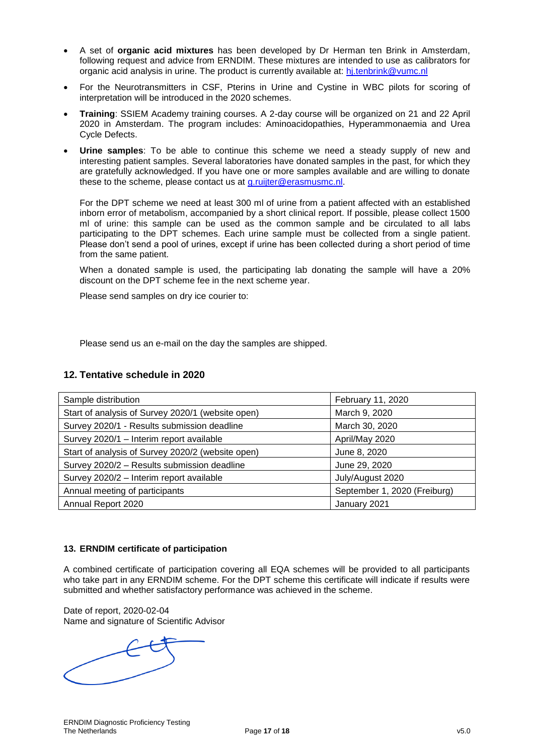- A set of **organic acid mixtures** has been developed by Dr Herman ten Brink in Amsterdam, following request and advice from ERNDIM. These mixtures are intended to use as calibrators for organic acid analysis in urine. The product is currently available at: [hj.tenbrink@vumc.nl](mailto:hj.tenbrink@vumc.nl)
- For the Neurotransmitters in CSF, Pterins in Urine and Cystine in WBC pilots for scoring of interpretation will be introduced in the 2020 schemes.
- **Training**: SSIEM Academy training courses. A 2-day course will be organized on 21 and 22 April 2020 in Amsterdam. The program includes: Aminoacidopathies, Hyperammonaemia and Urea Cycle Defects.
- **Urine samples**: To be able to continue this scheme we need a steady supply of new and interesting patient samples. Several laboratories have donated samples in the past, for which they are gratefully acknowledged. If you have one or more samples available and are willing to donate these to the scheme, please contact us at [g.ruijter@erasmusmc.nl.](mailto:g.ruijter@erasmusmc.nl)

For the DPT scheme we need at least 300 ml of urine from a patient affected with an established inborn error of metabolism, accompanied by a short clinical report. If possible, please collect 1500 ml of urine: this sample can be used as the common sample and be circulated to all labs participating to the DPT schemes. Each urine sample must be collected from a single patient. Please don't send a pool of urines, except if urine has been collected during a short period of time from the same patient.

When a donated sample is used, the participating lab donating the sample will have a 20% discount on the DPT scheme fee in the next scheme year.

Please send samples on dry ice courier to:

Please send us an e-mail on the day the samples are shipped.

## **12. Tentative schedule in 2020**

| Sample distribution                               | February 11, 2020            |
|---------------------------------------------------|------------------------------|
| Start of analysis of Survey 2020/1 (website open) | March 9, 2020                |
| Survey 2020/1 - Results submission deadline       | March 30, 2020               |
| Survey 2020/1 - Interim report available          | April/May 2020               |
| Start of analysis of Survey 2020/2 (website open) | June 8, 2020                 |
| Survey 2020/2 - Results submission deadline       | June 29, 2020                |
| Survey 2020/2 - Interim report available          | July/August 2020             |
| Annual meeting of participants                    | September 1, 2020 (Freiburg) |
| Annual Report 2020                                | January 2021                 |

## **13. ERNDIM certificate of participation**

A combined certificate of participation covering all EQA schemes will be provided to all participants who take part in any ERNDIM scheme. For the DPT scheme this certificate will indicate if results were submitted and whether satisfactory performance was achieved in the scheme.

Date of report, 2020-02-04 Name and signature of Scientific Advisor